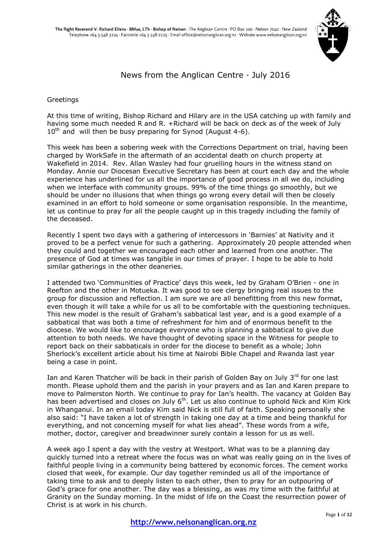

## News from the Anglican Centre · July 2016

#### Greetings

At this time of writing, Bishop Richard and Hilary are in the USA catching up with family and having some much needed R and R. +Richard will be back on deck as of the week of July  $10^{th}$  and will then be busy preparing for Synod (August 4-6).

This week has been a sobering week with the Corrections Department on trial, having been charged by WorkSafe in the aftermath of an accidental death on church property at Wakefield in 2014. Rev. Allan Wasley had four gruelling hours in the witness stand on Monday. Annie our Diocesan Executive Secretary has been at court each day and the whole experience has underlined for us all the importance of good process in all we do, including when we interface with community groups. 99% of the time things go smoothly, but we should be under no illusions that when things go wrong every detail will then be closely examined in an effort to hold someone or some organisation responsible. In the meantime, let us continue to pray for all the people caught up in this tragedy including the family of the deceased.

Recently I spent two days with a gathering of intercessors in 'Barnies' at Nativity and it proved to be a perfect venue for such a gathering. Approximately 20 people attended when they could and together we encouraged each other and learned from one another. The presence of God at times was tangible in our times of prayer. I hope to be able to hold similar gatherings in the other deaneries.

I attended two 'Communities of Practice' days this week, led by Graham O'Brien - one in Reefton and the other in Motueka. It was good to see clergy bringing real issues to the group for discussion and reflection. I am sure we are all benefitting from this new format, even though it will take a while for us all to be comfortable with the questioning techniques. This new model is the result of Graham's sabbatical last year, and is a good example of a sabbatical that was both a time of refreshment for him and of enormous benefit to the diocese. We would like to encourage everyone who is planning a sabbatical to give due attention to both needs. We have thought of devoting space in the Witness for people to report back on their sabbaticals in order for the diocese to benefit as a whole; John Sherlock's excellent article about his time at Nairobi Bible Chapel and Rwanda last year being a case in point.

Ian and Karen Thatcher will be back in their parish of Golden Bay on July 3rd for one last month. Please uphold them and the parish in your prayers and as Ian and Karen prepare to move to Palmerston North. We continue to pray for Ian's health. The vacancy at Golden Bay has been advertised and closes on July  $6<sup>th</sup>$ . Let us also continue to uphold Nick and Kim Kirk in Whanganui. In an email today Kim said Nick is still full of faith. Speaking personally she also said: "I have taken a lot of strength in taking one day at a time and being thankful for everything, and not concerning myself for what lies ahead". These words from a wife, mother, doctor, caregiver and breadwinner surely contain a lesson for us as well.

A week ago I spent a day with the vestry at Westport. What was to be a planning day quickly turned into a retreat where the focus was on what was really going on in the lives of faithful people living in a community being battered by economic forces. The cement works closed that week, for example. Our day together reminded us all of the importance of taking time to ask and to deeply listen to each other, then to pray for an outpouring of God's grace for one another. The day was a blessing, as was my time with the faithful at Granity on the Sunday morning. In the midst of life on the Coast the resurrection power of Christ is at work in his church.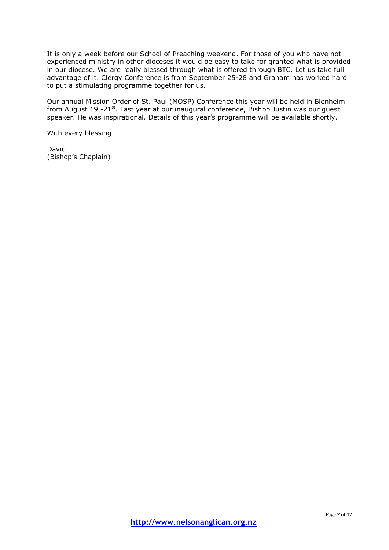It is only a week before our School of Preaching weekend. For those of you who have not experienced ministry in other dioceses it would be easy to take for granted what is provided in our diocese. We are really blessed through what is offered through BTC. Let us take full advantage of it. Clergy Conference is from September 25-28 and Graham has worked hard to put a stimulating programme together for us.

Our annual Mission Order of St. Paul (MOSP) Conference this year will be held in Blenheim from August 19 -21 $^{\text{st}}$ . Last year at our inaugural conference, Bishop Justin was our quest speaker. He was inspirational. Details of this year's programme will be available shortly.

With every blessing

David (Bishop's Chaplain)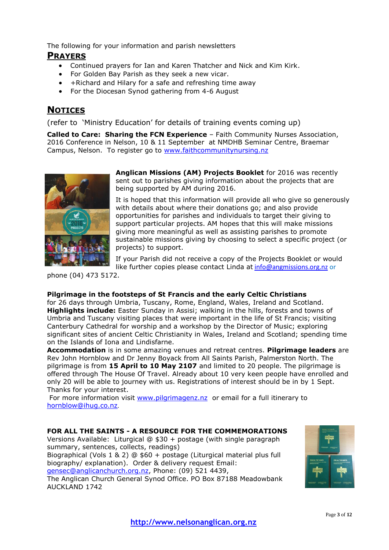The following for your information and parish newsletters

## **PRAYERS**

- Continued prayers for Ian and Karen Thatcher and Nick and Kim Kirk.
- For Golden Bay Parish as they seek a new vicar.
- +Richard and Hilary for a safe and refreshing time away
- For the Diocesan Synod gathering from 4-6 August

# **NOTICES**

(refer to 'Ministry Education' for details of training events coming up)

**Called to Care: Sharing the FCN Experience** – Faith Community Nurses Association, 2016 Conference in Nelson, 10 & 11 September at NMDHB Seminar Centre, Braemar Campus, Nelson. To register go to [www.faithcommunitynursing.nz](http://www.faithcommunitynursing.nz/)



**Anglican Missions (AM) Projects Booklet** for 2016 was recently sent out to parishes giving information about the projects that are being supported by AM during 2016.

It is hoped that this information will provide all who give so generously with details about where their donations go; and also provide opportunities for parishes and individuals to target their giving to support particular projects. AM hopes that this will make missions giving more meaningful as well as assisting parishes to promote sustainable missions giving by choosing to select a specific project (or projects) to support.

If your Parish did not receive a copy of the Projects Booklet or would like further copies please contact Linda at [info@angmissions.org.nz](mailto:info@angmissions.org.nz) or

phone (04) 473 5172.

### **Pilgrimage in the footsteps of St Francis and the early Celtic Christians**

for 26 days through Umbria, Tuscany, Rome, England, Wales, Ireland and Scotland. **Highlights include:** Easter Sunday in Assisi; walking in the hills, forests and towns of Umbria and Tuscany visiting places that were important in the life of St Francis; visiting Canterbury Cathedral for worship and a workshop by the Director of Music; exploring significant sites of ancient Celtic Christianity in Wales, Ireland and Scotland; spending time on the Islands of Iona and Lindisfarne.

**Accommodation** is in some amazing venues and retreat centres. **Pilgrimage leaders** are Rev John Hornblow and Dr Jenny Boyack from All Saints Parish, Palmerston North. The pilgrimage is from **15 April to 10 May 2107** and limited to 20 people. The pilgrimage is offered through The House Of Travel. Already about 10 very keen people have enrolled and only 20 will be able to journey with us. Registrations of interest should be in by 1 Sept. Thanks for your interest.

For more information visit [www.pilgrimagenz.nz](http://www.pilgrimagenz.nz/) or email for a full itinerary to [hornblow@ihug.co.nz](mailto:hornblow@ihug.co.nz).

### **FOR ALL THE SAINTS - A RESOURCE FOR THE COMMEMORATIONS**

Versions Available: Liturgical @ \$30 + postage (with single paragraph summary, sentences, collects, readings)

Biographical (Vols 1 & 2) @ \$60 + postage (Liturgical material plus full biography/ explanation). Order & delivery request Email: [gensec@anglicanchurch.org.nz,](mailto:gensec@anglicanchurch.org.nz) Phone: (09) 521 4439,

The Anglican Church General Synod Office. PO Box 87188 Meadowbank AUCKLAND 1742

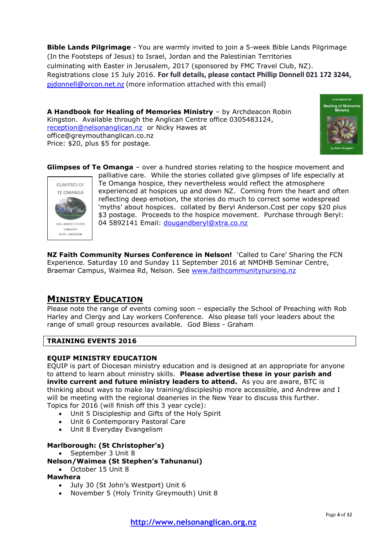**Bible Lands Pilgrimage** - You are warmly invited to join a 5-week Bible Lands Pilgrimage (In the Footsteps of Jesus) to Israel, Jordan and the Palestinian Territories culminating with Easter in Jerusalem, 2017 (sponsored by FMC Travel Club, NZ). Registrations close 15 July 2016. **For full details, please contact Phillip Donnell 021 172 3244,**  [pjdonnell@orcon.net.nz](mailto:pjdonnell@orcon.net.nz) (more information attached with this email)

**A Handbook for Healing of Memories Ministry** – by Archdeacon Robin Kingston. Available through the Anglican Centre office 0305483124, [reception@nelsonanglican.nz](mailto:reception@nelsonanglican.nz) or Nicky Hawes at office@greymouthanglican.co.nz Price: \$20, plus \$5 for postage.



**Glimpses of Te Omanga** – over a hundred stories relating to the hospice movement and



palliative care. While the stories collated give glimpses of life especially at Te Omanga hospice, they nevertheless would reflect the atmosphere experienced at hospices up and down NZ. Coming from the heart and often reflecting deep emotion, the stories do much to correct some widespread 'myths' about hospices. collated by Beryl Anderson.Cost per copy \$20 plus \$3 postage. Proceeds to the hospice movement. Purchase through Beryl: 04 5892141 Email: [dougandberyl@xtra.co.nz](mailto:dougandberyl@xtra.co.nz)

**NZ Faith Community Nurses Conference in Nelson!** 'Called to Care' Sharing the FCN Experience. Saturday 10 and Sunday 11 September 2016 at NMDHB Seminar Centre, Braemar Campus, Waimea Rd, Nelson. See [www.faithcommunitynursing.nz](http://www.faithcommunitynursing.nz/)

## **MINISTRY EDUCATION**

Please note the range of events coming soon - especially the School of Preaching with Rob Harley and Clergy and Lay workers Conference. Also please tell your leaders about the range of small group resources available. God Bless - Graham

## **TRAINING EVENTS 2016**

### **EQUIP MINISTRY EDUCATION**

EQUIP is part of Diocesan ministry education and is designed at an appropriate for anyone to attend to learn about ministry skills. **Please advertise these in your parish and invite current and future ministry leaders to attend.** As you are aware, BTC is thinking about ways to make lay training/discipleship more accessible, and Andrew and I will be meeting with the regional deaneries in the New Year to discuss this further. Topics for 2016 (will finish off this 3 year cycle):

- Unit 5 Discipleship and Gifts of the Holy Spirit
- Unit 6 Contemporary Pastoral Care
- Unit 8 Everyday Evangelism

## **Marlborough: (St Christopher's)**

September 3 Unit 8

## **Nelson/Waimea (St Stephen's Tahunanui)**

October 15 Unit 8

## **Mawhera**

- July 30 (St John's Westport) Unit 6
- November 5 (Holy Trinity Greymouth) Unit 8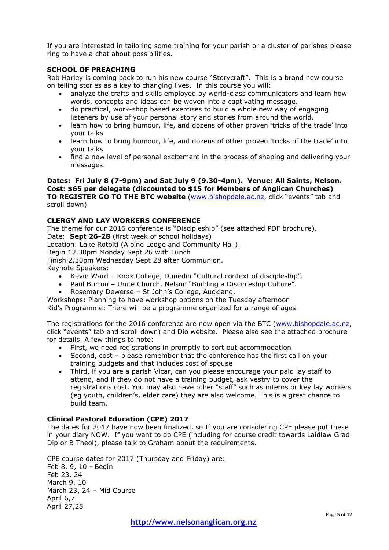If you are interested in tailoring some training for your parish or a cluster of parishes please ring to have a chat about possibilities.

## **SCHOOL OF PREACHING**

Rob Harley is coming back to run his new course "Storycraft". This is a brand new course on telling stories as a key to changing lives. In this course you will:

- analyze the crafts and skills employed by world-class communicators and learn how words, concepts and ideas can be woven into a captivating message.
- do practical, work-shop based exercises to build a whole new way of engaging listeners by use of your personal story and stories from around the world.
- learn how to bring humour, life, and dozens of other proven 'tricks of the trade' into your talks
- learn how to bring humour, life, and dozens of other proven 'tricks of the trade' into your talks
- find a new level of personal excitement in the process of shaping and delivering your messages.

#### **Dates: Fri July 8 (7-9pm) and Sat July 9 (9.30-4pm). Venue: All Saints, Nelson. Cost: \$65 per delegate (discounted to \$15 for Members of Anglican Churches) TO REGISTER GO TO THE BTC website** [\(www.bishopdale.ac.nz](http://www.bishopdale.ac.nz/), click "events" tab and scroll down)

#### **CLERGY AND LAY WORKERS CONFERENCE**

The theme for our 2016 conference is "Discipleship" (see attached PDF brochure).

Date: **Sept 26-28** (first week of school holidays)

Location: Lake Rotoiti (Alpine Lodge and Community Hall).

Begin 12.30pm Monday Sept 26 with Lunch

Finish 2.30pm Wednesday Sept 28 after Communion.

Keynote Speakers:

- Kevin Ward Knox College, Dunedin "Cultural context of discipleship".
- Paul Burton Unite Church, Nelson "Building a Discipleship Culture".
- Rosemary Dewerse St John's College, Auckland.

Workshops: Planning to have workshop options on the Tuesday afternoon Kid's Programme: There will be a programme organized for a range of ages.

The registrations for the 2016 conference are now open via the BTC [\(www.bishopdale.ac.nz,](http://www.bishopdale.ac.nz/) click "events" tab and scroll down) and Dio website. Please also see the attached brochure for details. A few things to note:

- First, we need registrations in promptly to sort out accommodation
- Second, cost please remember that the conference has the first call on your training budgets and that includes cost of spouse
- Third, if you are a parish Vicar, can you please encourage your paid lay staff to attend, and if they do not have a training budget, ask vestry to cover the registrations cost. You may also have other "staff" such as interns or key lay workers (eg youth, children's, elder care) they are also welcome. This is a great chance to build team.

### **Clinical Pastoral Education (CPE) 2017**

The dates for 2017 have now been finalized, so If you are considering CPE please put these in your diary NOW. If you want to do CPE (including for course credit towards Laidlaw Grad Dip or B Theol), please talk to Graham about the requirements.

CPE course dates for 2017 (Thursday and Friday) are: Feb 8, 9, 10 - Begin Feb 23, 24 March 9, 10 March 23, 24 – Mid Course April 6,7 April 27,28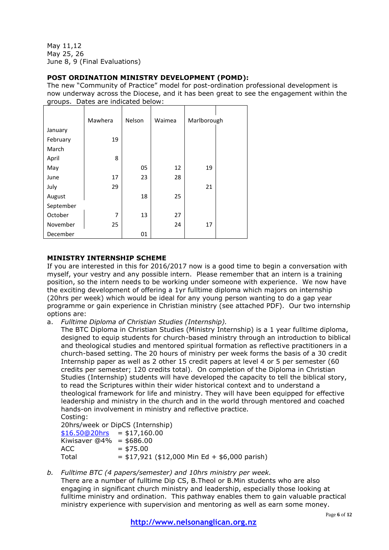May 11,12 May 25, 26 June 8, 9 (Final Evaluations)

## **POST ORDINATION MINISTRY DEVELOPMENT (POMD):**

The new "Community of Practice" model for post-ordination professional development is now underway across the Diocese, and it has been great to see the engagement within the groups. Dates are indicated below:

|           | Mawhera | Nelson | Waimea | Marlborough |  |
|-----------|---------|--------|--------|-------------|--|
|           |         |        |        |             |  |
| January   |         |        |        |             |  |
| February  | 19      |        |        |             |  |
| March     |         |        |        |             |  |
| April     | 8       |        |        |             |  |
| May       |         | 05     | 12     | 19          |  |
| June      | 17      | 23     | 28     |             |  |
| July      | 29      |        |        | 21          |  |
| August    |         | 18     | 25     |             |  |
| September |         |        |        |             |  |
| October   | 7       | 13     | 27     |             |  |
| November  | 25      |        | 24     | 17          |  |
| December  |         | 01     |        |             |  |

## **MINISTRY INTERNSHIP SCHEME**

If you are interested in this for 2016/2017 now is a good time to begin a conversation with myself, your vestry and any possible intern. Please remember that an intern is a training position, so the intern needs to be working under someone with experience. We now have the exciting development of offering a 1yr fulltime diploma which majors on internship (20hrs per week) which would be ideal for any young person wanting to do a gap year programme or gain experience in Christian ministry (see attached PDF). Our two internship options are:

a. *Fulltime Diploma of Christian Studies (Internship).*

The BTC Diploma in Christian Studies (Ministry Internship) is a 1 year fulltime diploma, designed to equip students for church-based ministry through an introduction to biblical and theological studies and mentored spiritual formation as reflective practitioners in a church-based setting. The 20 hours of ministry per week forms the basis of a 30 credit Internship paper as well as 2 other 15 credit papers at level 4 or 5 per semester (60 credits per semester; 120 credits total). On completion of the Diploma in Christian Studies (Internship) students will have developed the capacity to tell the biblical story, to read the Scriptures within their wider historical context and to understand a theological framework for life and ministry. They will have been equipped for effective leadership and ministry in the church and in the world through mentored and coached hands-on involvement in ministry and reflective practice.

Costing: 20hrs/week or DipCS (Internship)  $$16.50@20$ hrs = \$17,160.00 Kiwisaver  $@4\% = $686.00$  $ACC = $75.00$ Total  $= $17,921 ($12,000$  Min Ed + \$6,000 parish)

*b. Fulltime BTC (4 papers/semester) and 10hrs ministry per week.*

There are a number of fulltime Dip CS, B.Theol or B.Min students who are also engaging in significant church ministry and leadership, especially those looking at fulltime ministry and ordination. This pathway enables them to gain valuable practical ministry experience with supervision and mentoring as well as earn some money.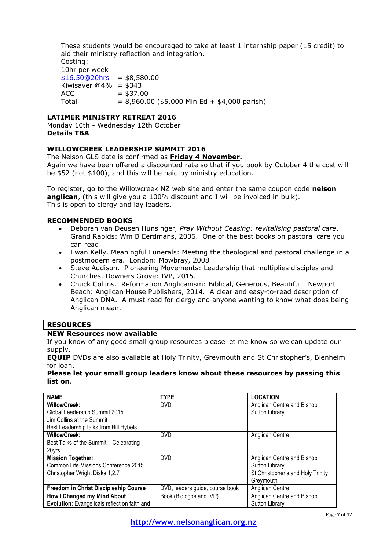These students would be encouraged to take at least 1 internship paper (15 credit) to aid their ministry reflection and integration.

Costing: 10hr per week  $$16.50@20$ hrs = \$8,580.00 Kiwisaver  $@4\% = $343$  $ACC = $37.00$ Total  $= 8,960.00$  (\$5,000 Min Ed + \$4,000 parish)

### **LATIMER MINISTRY RETREAT 2016**

Monday 10th - Wednesday 12th October **Details TBA**

### WILLOWCREEK LEADERSHIP SUMMIT 2016

#### The Nelson GLS date is confirmed as **Friday 4 November.**

Again we have been offered a discounted rate so that if you book by October 4 the cost will be \$52 (not \$100), and this will be paid by ministry education.

To register, go to the Willowcreek NZ web site and enter the same coupon code **nelson anglican**, (this will give you a 100% discount and I will be invoiced in bulk). This is open to clergy and lay leaders.

#### **RECOMMENDED BOOKS**

- Deborah van Deusen Hunsinger, *Pray Without Ceasing: revitalising pastoral care*. Grand Rapids: Wm B Eerdmans, 2006. One of the best books on pastoral care you can read.
- Ewan Kelly. Meaningful Funerals: Meeting the theological and pastoral challenge in a postmodern era. London: Mowbray, 2008
- Steve Addison. Pioneering Movements: Leadership that multiplies disciples and Churches. Downers Grove: IVP, 2015.
- Chuck Collins. Reformation Anglicanism: Biblical, Generous, Beautiful. Newport Beach: Anglican House Publishers, 2014. A clear and easy-to-read description of Anglican DNA. A must read for clergy and anyone wanting to know what does being Anglican mean.

## **RESOURCES**

### **NEW Resources now available**

If you know of any good small group resources please let me know so we can update our supply.

**EQUIP** DVDs are also available at Holy Trinity, Greymouth and St Christopher's, Blenheim for loan.

**Please let your small group leaders know about these resources by passing this list on**.

| <b>NAME</b>                                  | <b>TYPE</b>                                           | <b>LOCATION</b>                   |
|----------------------------------------------|-------------------------------------------------------|-----------------------------------|
| WillowCreek:                                 | <b>DVD</b>                                            | Anglican Centre and Bishop        |
| Global Leadership Summit 2015                |                                                       | Sutton Library                    |
| Jim Collins at the Summit                    |                                                       |                                   |
| Best Leadership talks from Bill Hybels       |                                                       |                                   |
| WillowCreek:                                 | <b>DVD</b>                                            | Anglican Centre                   |
| Best Talks of the Summit - Celebrating       |                                                       |                                   |
| 20yrs                                        |                                                       |                                   |
| <b>Mission Together:</b>                     | <b>DVD</b>                                            | Anglican Centre and Bishop        |
| Common Life Missions Conference 2015.        |                                                       | Sutton Library                    |
| Christopher Wright Disks 1,2,7               |                                                       | St Christopher's and Holy Trinity |
|                                              |                                                       | Greymouth                         |
| <b>Freedom in Christ Discipleship Course</b> | DVD, leaders guide, course book                       | Anglican Centre                   |
| How I Changed my Mind About                  | Book (Biologos and IVP)<br>Anglican Centre and Bishop |                                   |
| Evolution: Evangelicals reflect on faith and |                                                       | <b>Sutton Library</b>             |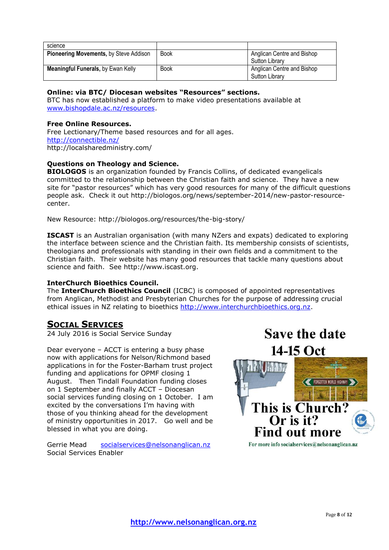| science                                   |             |                            |  |
|-------------------------------------------|-------------|----------------------------|--|
| Pioneering Movements, by Steve Addison    | <b>Book</b> | Anglican Centre and Bishop |  |
|                                           |             | <b>Sutton Library</b>      |  |
| <b>Meaningful Funerals, by Ewan Kelly</b> | <b>Book</b> | Anglican Centre and Bishop |  |
|                                           |             | <b>Sutton Library</b>      |  |

## **Online: via BTC/ Diocesan websites "Resources" sections.**

BTC has now established a platform to make video presentations available at [www.bishopdale.ac.nz/resources.](http://www.bishopdale.ac.nz/resources)

### **Free Online Resources.**

Free Lectionary/Theme based resources and for all ages. <http://connectible.nz/> http://localsharedministry.com/

### **Questions on Theology and Science.**

**BIOLOGOS** is an organization founded by Francis Collins, of dedicated evangelicals committed to the relationship between the Christian faith and science. They have a new site for "pastor resources" which has very good resources for many of the difficult questions people ask. Check it out http://biologos.org/news/september-2014/new-pastor-resourcecenter.

New Resource: http://biologos.org/resources/the-big-story/

**ISCAST** is an Australian organisation (with many NZers and expats) dedicated to exploring the interface between science and the Christian faith. Its membership consists of scientists, theologians and professionals with standing in their own fields and a commitment to the Christian faith. Their website has many good resources that tackle many questions about science and faith. See http://www.iscast.org.

### **InterChurch Bioethics Council.**

The **InterChurch Bioethics Council** (ICBC) is composed of appointed representatives from Anglican, Methodist and Presbyterian Churches for the purpose of addressing crucial ethical issues in NZ relating to bioethics [http://www.interchurchbioethics.org.nz.](http://www.interchurchbioethics.org.nz/)

## **SOCIAL SERVICES**

24 July 2016 is Social Service Sunday

Dear everyone – ACCT is entering a busy phase now with applications for Nelson/Richmond based applications in for the Foster-Barham trust project funding and applications for OPMF closing 1 August. Then Tindall Foundation funding closes on 1 September and finally ACCT – Diocesan social services funding closing on 1 October. I am excited by the conversations I'm having with those of you thinking ahead for the development of ministry opportunities in 2017. Go well and be blessed in what you are doing.

Gerrie Mead [socialservices@nelsonanglican.nz](mailto:socialservices@nelsonanglican.nz) Social Services Enabler



**Save the date**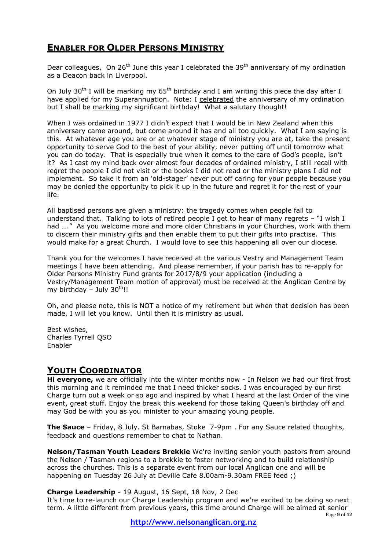# **ENABLER FOR OLDER PERSONS MINISTRY**

Dear colleagues, On 26<sup>th</sup> June this year I celebrated the 39<sup>th</sup> anniversary of my ordination as a Deacon back in Liverpool.

On July 30<sup>th</sup> I will be marking my  $65<sup>th</sup>$  birthday and I am writing this piece the day after I have applied for my Superannuation. Note: I celebrated the anniversary of my ordination but I shall be marking my significant birthday! What a salutary thought!

When I was ordained in 1977 I didn't expect that I would be in New Zealand when this anniversary came around, but come around it has and all too quickly. What I am saying is this. At whatever age you are or at whatever stage of ministry you are at, take the present opportunity to serve God to the best of your ability, never putting off until tomorrow what you can do today. That is especially true when it comes to the care of God's people, isn't it? As I cast my mind back over almost four decades of ordained ministry, I still recall with regret the people I did not visit or the books I did not read or the ministry plans I did not implement. So take it from an 'old-stager' never put off caring for your people because you may be denied the opportunity to pick it up in the future and regret it for the rest of your life.

All baptised persons are given a ministry: the tragedy comes when people fail to understand that. Talking to lots of retired people I get to hear of many regrets – "I wish I had …." As you welcome more and more older Christians in your Churches, work with them to discern their ministry gifts and then enable them to put their gifts into practise. This would make for a great Church. I would love to see this happening all over our diocese.

Thank you for the welcomes I have received at the various Vestry and Management Team meetings I have been attending. And please remember, if your parish has to re-apply for Older Persons Ministry Fund grants for 2017/8/9 your application (including a Vestry/Management Team motion of approval) must be received at the Anglican Centre by my birthday – July  $30^{\text{th}}$ !!

Oh, and please note, this is NOT a notice of my retirement but when that decision has been made, I will let you know. Until then it is ministry as usual.

Best wishes, Charles Tyrrell QSO Enabler

## **YOUTH COORDINATOR**

**Hi everyone,** we are officially into the winter months now - In Nelson we had our first frost this morning and it reminded me that I need thicker socks. I was encouraged by our first Charge turn out a week or so ago and inspired by what I heard at the last Order of the vine event, great stuff. Enjoy the break this weekend for those taking Queen's birthday off and may God be with you as you minister to your amazing young people.

**The Sauce** – Friday, 8 July. St Barnabas, Stoke 7-9pm . For any Sauce related thoughts, feedback and questions remember to chat to Nathan.

**Nelson/Tasman Youth Leaders Brekkie** We're inviting senior youth pastors from around the Nelson / Tasman regions to a brekkie to foster networking and to build relationship across the churches. This is a separate event from our local Anglican one and will be happening on Tuesday 26 July at Deville Cafe 8.00am-9.30am FREE feed ;)

## **Charge Leadership -** 19 August, 16 Sept, 18 Nov, 2 Dec

It's time to re-launch our Charge Leadership program and we're excited to be doing so next term. A little different from previous years, this time around Charge will be aimed at senior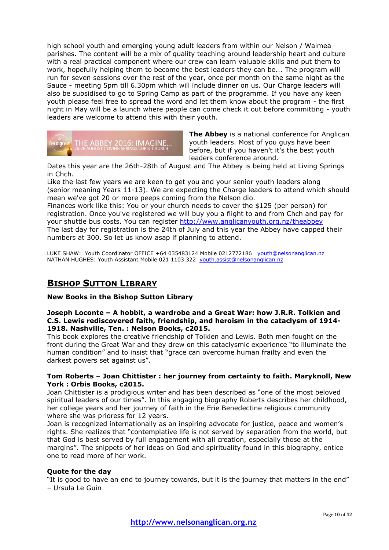high school youth and emerging young adult leaders from within our Nelson / Waimea parishes. The content will be a mix of quality teaching around leadership heart and culture with a real practical component where our crew can learn valuable skills and put them to work, hopefully helping them to become the best leaders they can be... The program will run for seven sessions over the rest of the year, once per month on the same night as the Sauce - meeting 5pm till 6.30pm which will include dinner on us. Our Charge leaders will also be subsidised to go to Spring Camp as part of the programme. If you have any keen youth please feel free to spread the word and let them know about the program - the first night in May will be a launch where people can come check it out before committing - youth leaders are welcome to attend this with their youth.



**The Abbey** is a national conference for Anglican youth leaders. Most of you guys have been before, but if you haven't it's the best youth leaders conference around.

Dates this year are the 26th-28th of August and The Abbey is being held at Living Springs in Chch.

Like the last few years we are keen to get you and your senior youth leaders along (senior meaning Years 11-13). We are expecting the Charge leaders to attend which should mean we've got 20 or more peeps coming from the Nelson dio.

Finances work like this: You or your church needs to cover the \$125 (per person) for registration. Once you've registered we will buy you a flight to and from Chch and pay for your shuttle bus costs. You can register <http://www.anglicanyouth.org.nz/theabbey> The last day for registration is the 24th of July and this year the Abbey have capped their numbers at 300. So let us know asap if planning to attend.

LUKE SHAW: Youth Coordinator OFFICE +64 035483124 Mobile 0212772186 [youth@nelsonanglican.nz](mailto:youth@nelsonanglican.nz) NATHAN HUGHES: Youth Assistant Mobile 021 1103 322 [youth.assist@nelsonanglican.nz](mailto:youth.assist@nelsonanglican.nz)

# **BISHOP SUTTON LIBRARY**

### **New Books in the Bishop Sutton Library**

#### **Joseph Loconte – A hobbit, a wardrobe and a Great War: how J.R.R. Tolkien and C.S. Lewis rediscovered faith, friendship, and heroism in the cataclysm of 1914- 1918. Nashville, Ten. : Nelson Books, c2015.**

This book explores the creative friendship of Tolkien and Lewis. Both men fought on the front during the Great War and they drew on this cataclysmic experience "to illuminate the human condition" and to insist that "grace can overcome human frailty and even the darkest powers set against us".

#### **Tom Roberts – Joan Chittister : her journey from certainty to faith. Maryknoll, New York : Orbis Books, c2015.**

Joan Chittister is a prodigious writer and has been described as "one of the most beloved spiritual leaders of our times". In this engaging biography Roberts describes her childhood, her college years and her journey of faith in the Erie Benedectine religious community where she was prioress for 12 years.

Joan is recognized internationally as an inspiring advocate for justice, peace and women's rights. She realizes that "contemplative life is not served by separation from the world, but that God is best served by full engagement with all creation, especially those at the margins". The snippets of her ideas on God and spirituality found in this biography, entice one to read more of her work.

### **Quote for the day**

"It is good to have an end to journey towards, but it is the journey that matters in the end" – Ursula Le Guin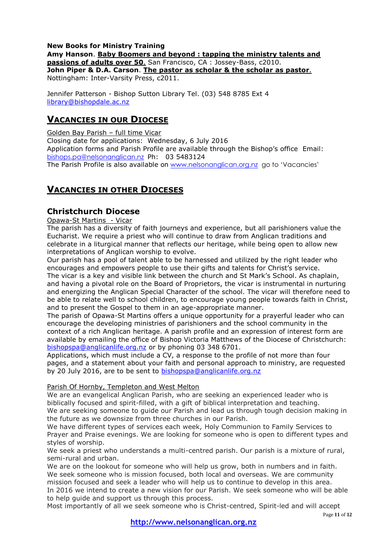#### **New Books for Ministry Training Amy Hanson**. **Baby Boomers and beyond : tapping the ministry talents and passions of adults over 50**. San Francisco, CA : Jossey-Bass, c2010. **John Piper & D.A. Carson**. **The pastor as scholar & the scholar as pastor**. Nottingham: Inter-Varsity Press, c2011.

Jennifer Patterson - Bishop Sutton Library Tel. (03) 548 8785 Ext 4 [library@bishopdale.ac.nz](mailto:library@bishopdale.ac.nz)

## **VACANCIES IN OUR DIOCESE**

Golden Bay Parish – full time Vicar Closing date for applications: Wednesday, 6 July 2016 Application forms and Parish Profile are available through the Bishop's office Email: [bishops.pa@nelsonanglican.nz](mailto:bishops.pa@nelsonanglican.nz) Ph: 03 5483124 The Parish Profile is also available on [www.nelsonanglican.org.nz](http://www.nelsonanglican.org.nz/) go to 'Vacancies'

# **VACANCIES IN OTHER DIOCESES**

## **Christchurch Diocese**

Opawa-St Martins - Vicar

The parish has a diversity of faith journeys and experience, but all parishioners value the Eucharist. We require a priest who will continue to draw from Anglican traditions and celebrate in a liturgical manner that reflects our heritage, while being open to allow new interpretations of Anglican worship to evolve.

Our parish has a pool of talent able to be harnessed and utilized by the right leader who encourages and empowers people to use their gifts and talents for Christ's service. The vicar is a key and visible link between the church and St Mark's School. As chaplain, and having a pivotal role on the Board of Proprietors, the vicar is instrumental in nurturing and energizing the Anglican Special Character of the school. The vicar will therefore need to be able to relate well to school children, to encourage young people towards faith in Christ, and to present the Gospel to them in an age-appropriate manner.

The parish of Opawa-St Martins offers a unique opportunity for a prayerful leader who can encourage the developing ministries of parishioners and the school community in the context of a rich Anglican heritage. A parish profile and an expression of interest form are available by emailing the office of Bishop Victoria Matthews of the Diocese of Christchurch: [bishopspa@anglicanlife.org.nz](mailto:bishopspa@anglicanlife.org.nz) or by phoning 03 348 6701.

Applications, which must include a CV, a response to the profile of not more than four pages, and a statement about your faith and personal approach to ministry, are requested by 20 July 2016, are to be sent to [bishopspa@anglicanlife.org.nz](mailto:bishopspa@anglicanlife.org.nz)

## Parish Of Hornby, Templeton and West Melton

We are an evangelical Anglican Parish, who are seeking an experienced leader who is biblically focused and spirit-filled, with a gift of biblical interpretation and teaching. We are seeking someone to guide our Parish and lead us through tough decision making in the future as we downsize from three churches in our Parish.

We have different types of services each week, Holy Communion to Family Services to Prayer and Praise evenings. We are looking for someone who is open to different types and styles of worship.

We seek a priest who understands a multi-centred parish. Our parish is a mixture of rural, semi-rural and urban.

We are on the lookout for someone who will help us grow, both in numbers and in faith. We seek someone who is mission focused, both local and overseas. We are community mission focused and seek a leader who will help us to continue to develop in this area. In 2016 we intend to create a new vision for our Parish. We seek someone who will be able to help guide and support us through this process.

Most importantly of all we seek someone who is Christ-centred, Spirit-led and will accept